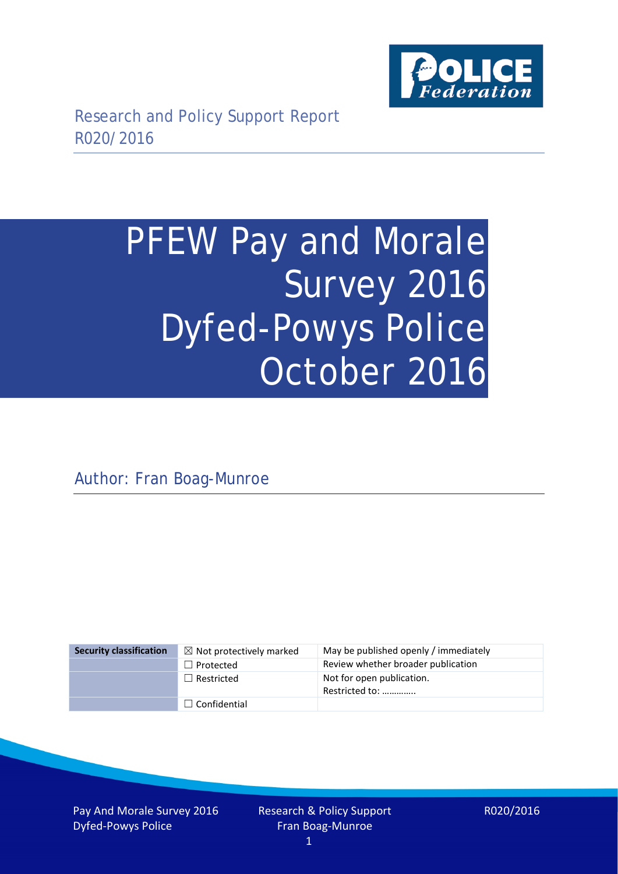

# PFEW Pay and Morale Survey 2016 Dyfed-Powys Police October 2016

Author: Fran Boag-Munroe

| <b>Security classification</b> | $\boxtimes$ Not protectively marked | May be published openly / immediately       |
|--------------------------------|-------------------------------------|---------------------------------------------|
|                                | $\Box$ Protected                    | Review whether broader publication          |
|                                | $\Box$ Restricted                   | Not for open publication.<br>Restricted to: |
|                                | $\Box$ Confidential                 |                                             |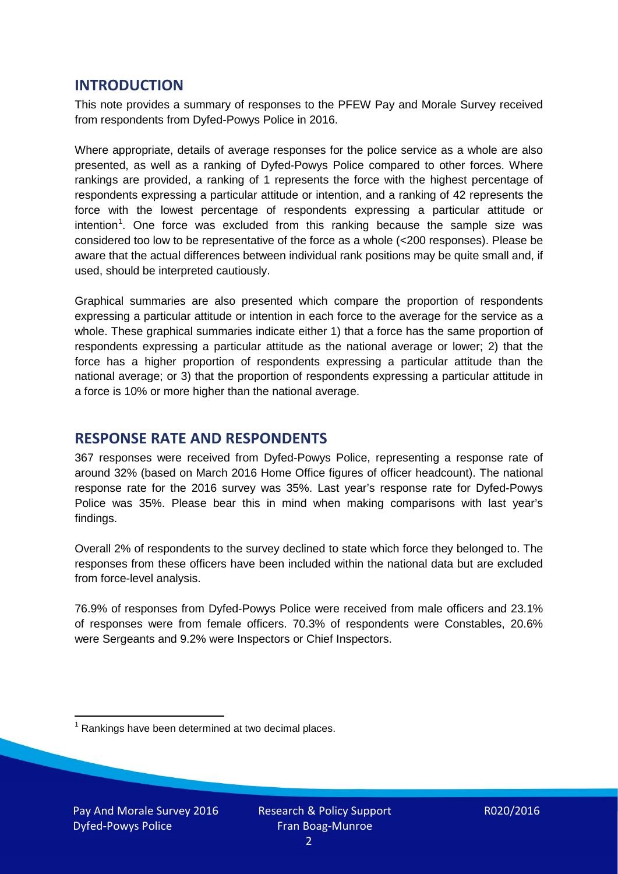## **INTRODUCTION**

This note provides a summary of responses to the PFEW Pay and Morale Survey received from respondents from Dyfed-Powys Police in 2016.

Where appropriate, details of average responses for the police service as a whole are also presented, as well as a ranking of Dyfed-Powys Police compared to other forces. Where rankings are provided, a ranking of 1 represents the force with the highest percentage of respondents expressing a particular attitude or intention, and a ranking of 42 represents the force with the lowest percentage of respondents expressing a particular attitude or intention<sup>[1](#page-1-0)</sup>. One force was excluded from this ranking because the sample size was considered too low to be representative of the force as a whole (<200 responses). Please be aware that the actual differences between individual rank positions may be quite small and, if used, should be interpreted cautiously.

Graphical summaries are also presented which compare the proportion of respondents expressing a particular attitude or intention in each force to the average for the service as a whole. These graphical summaries indicate either 1) that a force has the same proportion of respondents expressing a particular attitude as the national average or lower; 2) that the force has a higher proportion of respondents expressing a particular attitude than the national average; or 3) that the proportion of respondents expressing a particular attitude in a force is 10% or more higher than the national average.

# **RESPONSE RATE AND RESPONDENTS**

367 responses were received from Dyfed-Powys Police, representing a response rate of around 32% (based on March 2016 Home Office figures of officer headcount). The national response rate for the 2016 survey was 35%. Last year's response rate for Dyfed-Powys Police was 35%. Please bear this in mind when making comparisons with last year's findings.

Overall 2% of respondents to the survey declined to state which force they belonged to. The responses from these officers have been included within the national data but are excluded from force-level analysis.

76.9% of responses from Dyfed-Powys Police were received from male officers and 23.1% of responses were from female officers. 70.3% of respondents were Constables, 20.6% were Sergeants and 9.2% were Inspectors or Chief Inspectors.

<span id="page-1-0"></span> $1$  Rankings have been determined at two decimal places.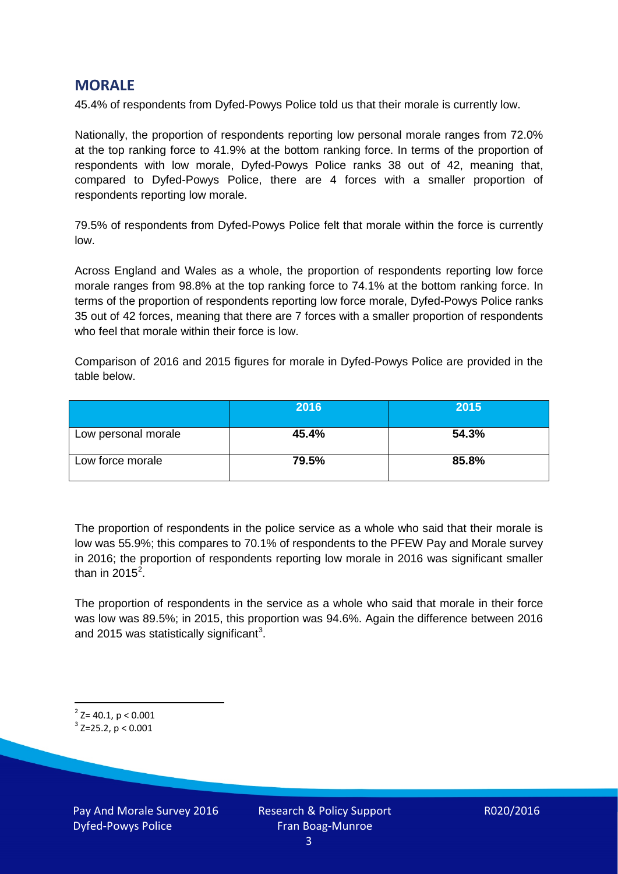## **MORALE**

45.4% of respondents from Dyfed-Powys Police told us that their morale is currently low.

Nationally, the proportion of respondents reporting low personal morale ranges from 72.0% at the top ranking force to 41.9% at the bottom ranking force. In terms of the proportion of respondents with low morale, Dyfed-Powys Police ranks 38 out of 42, meaning that, compared to Dyfed-Powys Police, there are 4 forces with a smaller proportion of respondents reporting low morale.

79.5% of respondents from Dyfed-Powys Police felt that morale within the force is currently low.

Across England and Wales as a whole, the proportion of respondents reporting low force morale ranges from 98.8% at the top ranking force to 74.1% at the bottom ranking force. In terms of the proportion of respondents reporting low force morale, Dyfed-Powys Police ranks 35 out of 42 forces, meaning that there are 7 forces with a smaller proportion of respondents who feel that morale within their force is low.

Comparison of 2016 and 2015 figures for morale in Dyfed-Powys Police are provided in the table below.

|                     | 2016  | 2015  |
|---------------------|-------|-------|
| Low personal morale | 45.4% | 54.3% |
| Low force morale    | 79.5% | 85.8% |

The proportion of respondents in the police service as a whole who said that their morale is low was 55.9%; this compares to 70.1% of respondents to the PFEW Pay and Morale survey in 2016; the proportion of respondents reporting low morale in 2016 was significant smaller than in [2](#page-2-0)015 $^2$ .

The proportion of respondents in the service as a whole who said that morale in their force was low was 89.5%; in 2015, this proportion was 94.6%. Again the difference between 2016 and 2015 was statistically significant<sup>[3](#page-2-1)</sup>.

<span id="page-2-0"></span> $2$ <sup>2</sup> Z= 40.1, p < 0.001

<span id="page-2-1"></span> $3$  Z=25.2, p < 0.001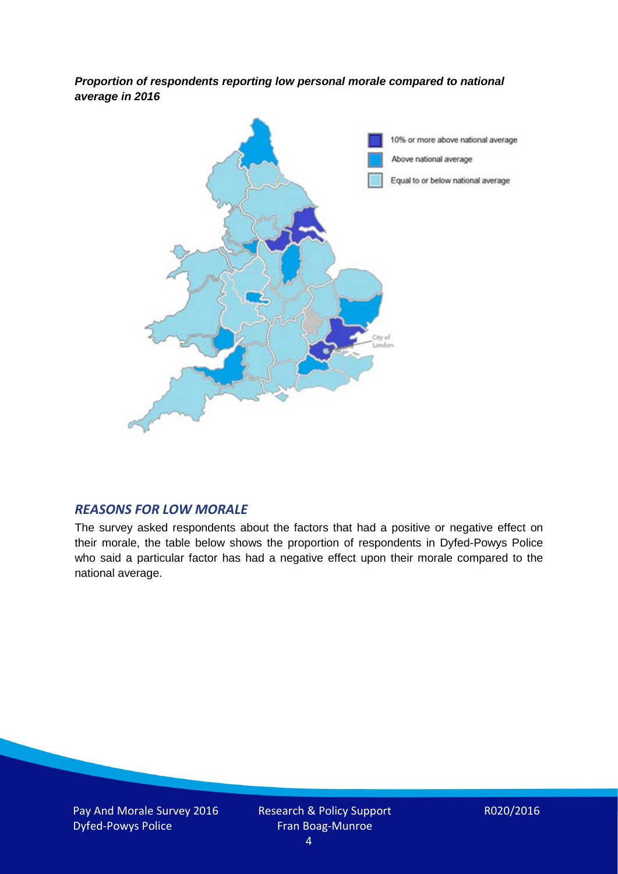*Proportion of respondents reporting low personal morale compared to national average in 2016*



#### *REASONS FOR LOW MORALE*

The survey asked respondents about the factors that had a positive or negative effect on their morale, the table below shows the proportion of respondents in Dyfed-Powys Police who said a particular factor has had a negative effect upon their morale compared to the national average.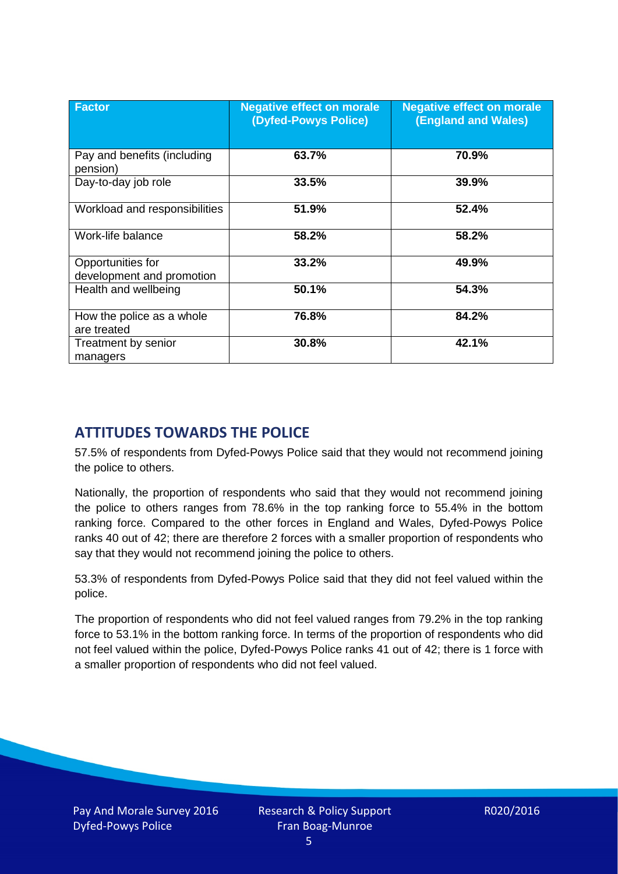| <b>Factor</b>                                  | <b>Negative effect on morale</b><br>(Dyfed-Powys Police) | <b>Negative effect on morale</b><br><b>(England and Wales)</b> |
|------------------------------------------------|----------------------------------------------------------|----------------------------------------------------------------|
| Pay and benefits (including<br>pension)        | 63.7%                                                    | 70.9%                                                          |
| Day-to-day job role                            | 33.5%                                                    | 39.9%                                                          |
| Workload and responsibilities                  | 51.9%                                                    | 52.4%                                                          |
| Work-life balance                              | 58.2%                                                    | 58.2%                                                          |
| Opportunities for<br>development and promotion | 33.2%                                                    | 49.9%                                                          |
| Health and wellbeing                           | 50.1%                                                    | 54.3%                                                          |
| How the police as a whole<br>are treated       | 76.8%                                                    | 84.2%                                                          |
| Treatment by senior<br>managers                | 30.8%                                                    | 42.1%                                                          |

# **ATTITUDES TOWARDS THE POLICE**

57.5% of respondents from Dyfed-Powys Police said that they would not recommend joining the police to others.

Nationally, the proportion of respondents who said that they would not recommend joining the police to others ranges from 78.6% in the top ranking force to 55.4% in the bottom ranking force. Compared to the other forces in England and Wales, Dyfed-Powys Police ranks 40 out of 42; there are therefore 2 forces with a smaller proportion of respondents who say that they would not recommend joining the police to others.

53.3% of respondents from Dyfed-Powys Police said that they did not feel valued within the police.

The proportion of respondents who did not feel valued ranges from 79.2% in the top ranking force to 53.1% in the bottom ranking force. In terms of the proportion of respondents who did not feel valued within the police, Dyfed-Powys Police ranks 41 out of 42; there is 1 force with a smaller proportion of respondents who did not feel valued.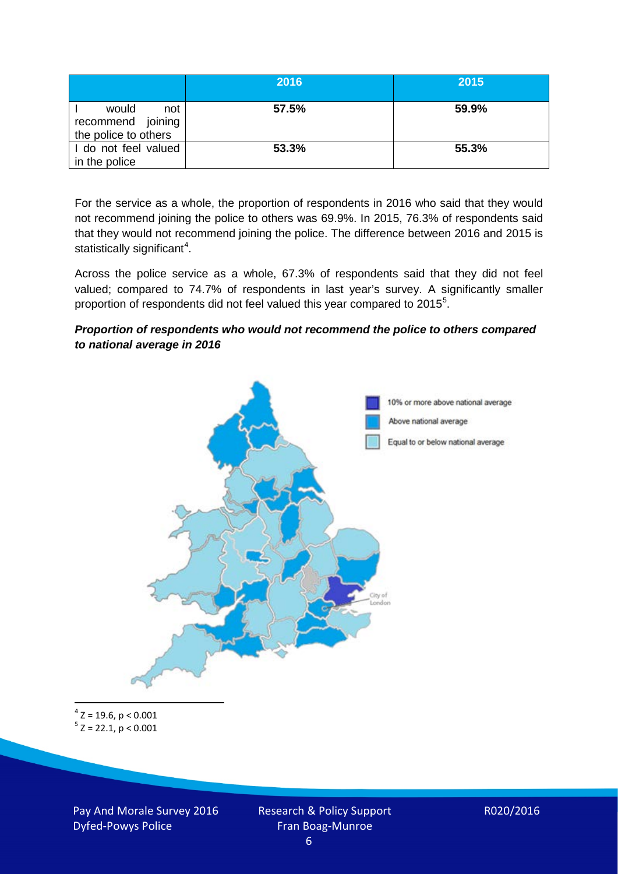|                                                           | 2016  | 2015  |
|-----------------------------------------------------------|-------|-------|
| would<br>not<br>recommend joining<br>the police to others | 57.5% | 59.9% |
| I do not feel valued<br>in the police                     | 53.3% | 55.3% |

For the service as a whole, the proportion of respondents in 2016 who said that they would not recommend joining the police to others was 69.9%. In 2015, 76.3% of respondents said that they would not recommend joining the police. The difference between 2016 and 2015 is statistically significant<sup>[4](#page-5-0)</sup>.

Across the police service as a whole, 67.3% of respondents said that they did not feel valued; compared to 74.7% of respondents in last year's survey. A significantly smaller proportion of respondents did not feel valued this year compared to 201[5](#page-5-1)<sup>5</sup>.

#### *Proportion of respondents who would not recommend the police to others compared to national average in 2016*



<span id="page-5-1"></span><span id="page-5-0"></span> $4$  Z = 19.6, p < 0.001  $5$  Z = 22.1, p < 0.001

Pay And Morale Survey 2016 Dyfed-Powys Police

Research & Policy Support Fran Boag-Munroe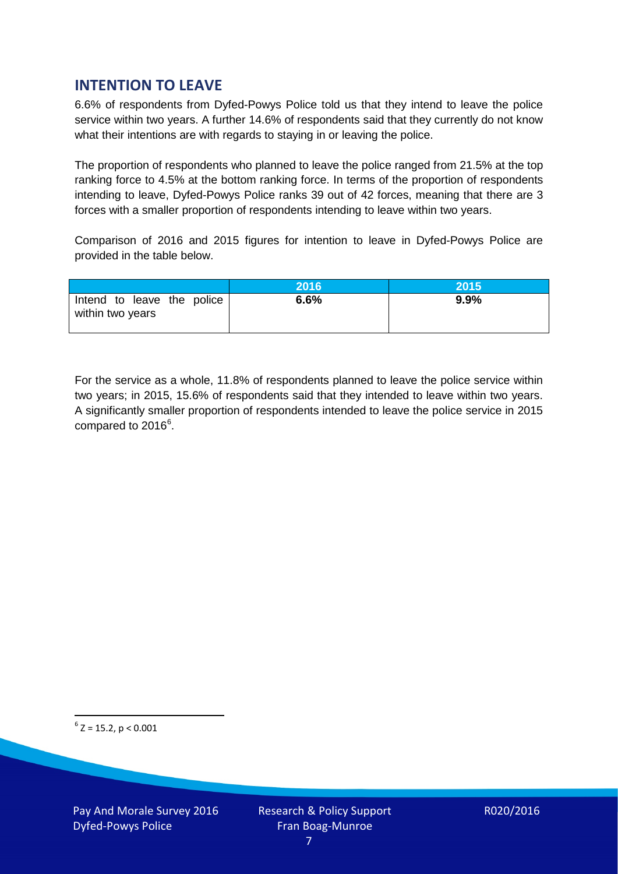# **INTENTION TO LEAVE**

6.6% of respondents from Dyfed-Powys Police told us that they intend to leave the police service within two years. A further 14.6% of respondents said that they currently do not know what their intentions are with regards to staying in or leaving the police.

The proportion of respondents who planned to leave the police ranged from 21.5% at the top ranking force to 4.5% at the bottom ranking force. In terms of the proportion of respondents intending to leave, Dyfed-Powys Police ranks 39 out of 42 forces, meaning that there are 3 forces with a smaller proportion of respondents intending to leave within two years.

Comparison of 2016 and 2015 figures for intention to leave in Dyfed-Powys Police are provided in the table below.

|                                                | 2016 | 2015 |
|------------------------------------------------|------|------|
| Intend to leave the police<br>within two years | 6.6% | 9.9% |

For the service as a whole, 11.8% of respondents planned to leave the police service within two years; in 2015, 15.6% of respondents said that they intended to leave within two years. A significantly smaller proportion of respondents intended to leave the police service in 2015 compared to 201[6](#page-6-0)<sup>6</sup>.

<span id="page-6-0"></span> $6$  Z = 15.2, p < 0.001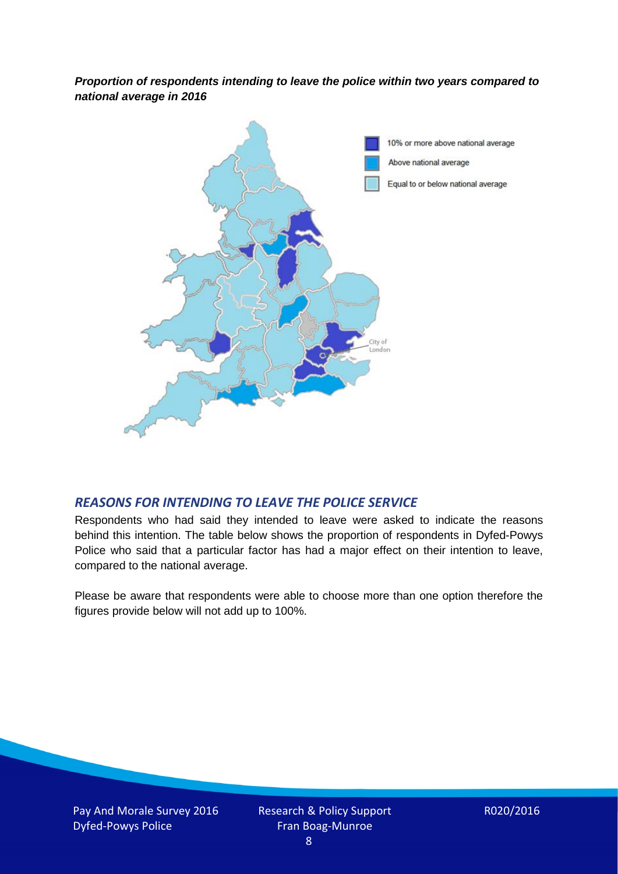*Proportion of respondents intending to leave the police within two years compared to national average in 2016*



### *REASONS FOR INTENDING TO LEAVE THE POLICE SERVICE*

Respondents who had said they intended to leave were asked to indicate the reasons behind this intention. The table below shows the proportion of respondents in Dyfed-Powys Police who said that a particular factor has had a major effect on their intention to leave, compared to the national average.

Please be aware that respondents were able to choose more than one option therefore the figures provide below will not add up to 100%.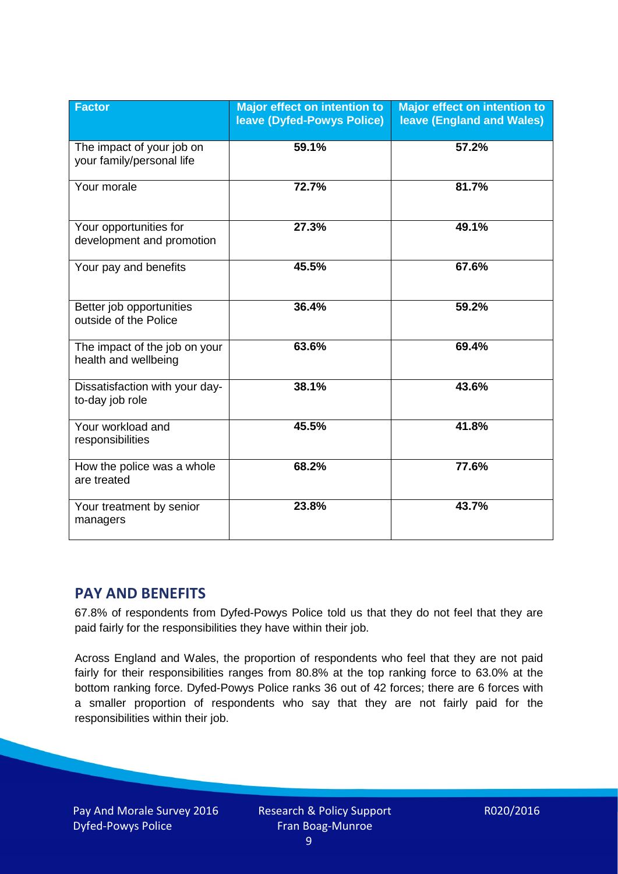| <b>Factor</b>                                          | Major effect on intention to<br>leave (Dyfed-Powys Police) | <b>Major effect on intention to</b><br><b>leave (England and Wales)</b> |
|--------------------------------------------------------|------------------------------------------------------------|-------------------------------------------------------------------------|
| The impact of your job on<br>your family/personal life | 59.1%                                                      | 57.2%                                                                   |
| Your morale                                            | 72.7%                                                      | 81.7%                                                                   |
| Your opportunities for<br>development and promotion    | 27.3%                                                      | 49.1%                                                                   |
| Your pay and benefits                                  | 45.5%                                                      | 67.6%                                                                   |
| Better job opportunities<br>outside of the Police      | 36.4%                                                      | 59.2%                                                                   |
| The impact of the job on your<br>health and wellbeing  | 63.6%                                                      | 69.4%                                                                   |
| Dissatisfaction with your day-<br>to-day job role      | 38.1%                                                      | 43.6%                                                                   |
| Your workload and<br>responsibilities                  | 45.5%                                                      | 41.8%                                                                   |
| How the police was a whole<br>are treated              | 68.2%                                                      | 77.6%                                                                   |
| Your treatment by senior<br>managers                   | 23.8%                                                      | 43.7%                                                                   |

# **PAY AND BENEFITS**

67.8% of respondents from Dyfed-Powys Police told us that they do not feel that they are paid fairly for the responsibilities they have within their job.

Across England and Wales, the proportion of respondents who feel that they are not paid fairly for their responsibilities ranges from 80.8% at the top ranking force to 63.0% at the bottom ranking force. Dyfed-Powys Police ranks 36 out of 42 forces; there are 6 forces with a smaller proportion of respondents who say that they are not fairly paid for the responsibilities within their job.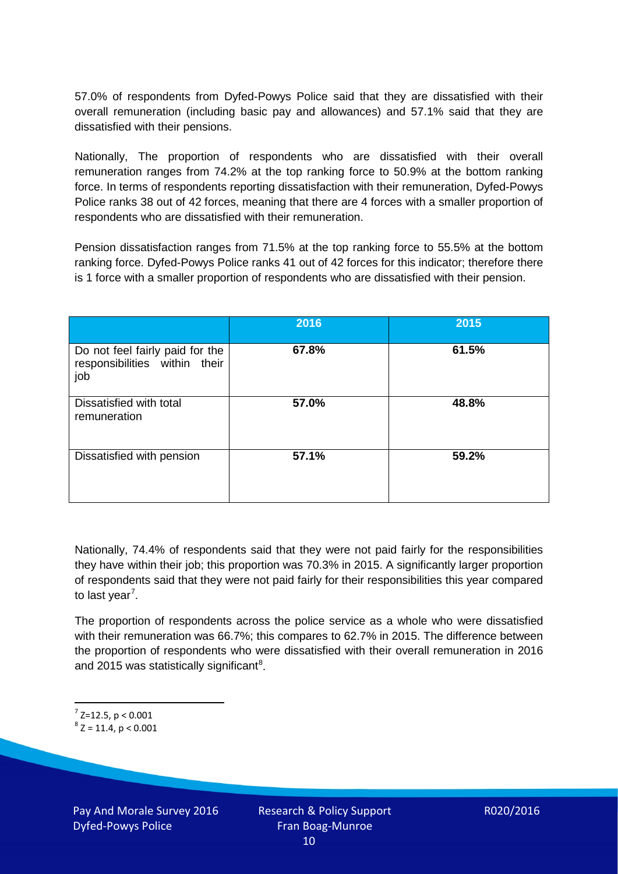57.0% of respondents from Dyfed-Powys Police said that they are dissatisfied with their overall remuneration (including basic pay and allowances) and 57.1% said that they are dissatisfied with their pensions.

Nationally, The proportion of respondents who are dissatisfied with their overall remuneration ranges from 74.2% at the top ranking force to 50.9% at the bottom ranking force. In terms of respondents reporting dissatisfaction with their remuneration, Dyfed-Powys Police ranks 38 out of 42 forces, meaning that there are 4 forces with a smaller proportion of respondents who are dissatisfied with their remuneration.

Pension dissatisfaction ranges from 71.5% at the top ranking force to 55.5% at the bottom ranking force. Dyfed-Powys Police ranks 41 out of 42 forces for this indicator; therefore there is 1 force with a smaller proportion of respondents who are dissatisfied with their pension.

|                                                                         | 2016  | 2015  |
|-------------------------------------------------------------------------|-------|-------|
| Do not feel fairly paid for the<br>responsibilities within their<br>job | 67.8% | 61.5% |
| Dissatisfied with total<br>remuneration                                 | 57.0% | 48.8% |
| Dissatisfied with pension                                               | 57.1% | 59.2% |

Nationally, 74.4% of respondents said that they were not paid fairly for the responsibilities they have within their job; this proportion was 70.3% in 2015. A significantly larger proportion of respondents said that they were not paid fairly for their responsibilities this year compared to last year<sup>[7](#page-9-0)</sup>.

The proportion of respondents across the police service as a whole who were dissatisfied with their remuneration was 66.7%; this compares to 62.7% in 2015. The difference between the proportion of respondents who were dissatisfied with their overall remuneration in 2016 and 2015 was statistically significant<sup>[8](#page-9-1)</sup>.

<span id="page-9-0"></span> $7$  Z=12.5, p < 0.001

<span id="page-9-1"></span> $8$  Z = 11.4, p < 0.001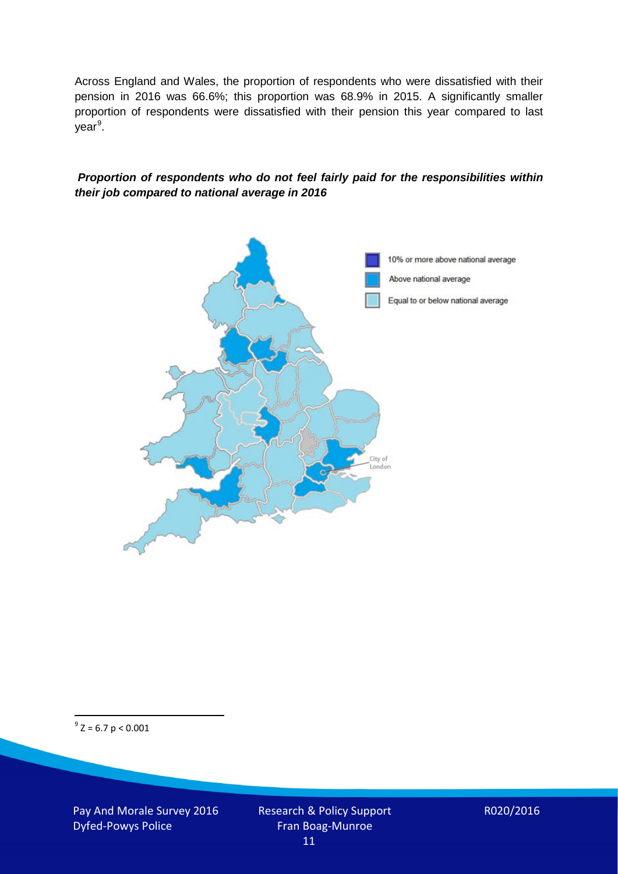Across England and Wales, the proportion of respondents who were dissatisfied with their pension in 2016 was 66.6%; this proportion was 68.9% in 2015. A significantly smaller proportion of respondents were dissatisfied with their pension this year compared to last year<sup>[9](#page-10-0)</sup>.

#### *Proportion of respondents who do not feel fairly paid for the responsibilities within their job compared to national average in 2016*



<span id="page-10-0"></span> $9^9$  Z = 6.7 p < 0.001